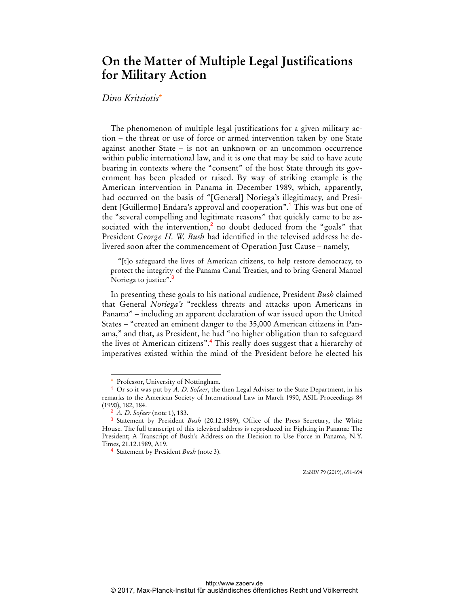## **On the Matter of Multiple Legal Justifications for Military Action**

## *Dino Kritsiotis*\*

The phenomenon of multiple legal justifications for a given military action – the threat or use of force or armed intervention taken by one State against another State – is not an unknown or an uncommon occurrence within public international law, and it is one that may be said to have acute bearing in contexts where the "consent" of the host State through its government has been pleaded or raised. By way of striking example is the American intervention in Panama in December 1989, which, apparently, had occurred on the basis of "[General] Noriega's illegitimacy, and President [Guillermo] Endara's approval and cooperation".<sup>1</sup> This was but one of the "several compelling and legitimate reasons" that quickly came to be associated with the intervention,<sup>2</sup> no doubt deduced from the "goals" that President *George H. W. Bush* had identified in the televised address he delivered soon after the commencement of Operation Just Cause – namely,

"[t]o safeguard the lives of American citizens, to help restore democracy, to protect the integrity of the Panama Canal Treaties, and to bring General Manuel Noriega to justice".<sup>3</sup>

In presenting these goals to his national audience, President *Bush* claimed that General *Noriega's* "reckless threats and attacks upon Americans in Panama" – including an apparent declaration of war issued upon the United States – "created an eminent danger to the 35,000 American citizens in Panama," and that, as President, he had "no higher obligation than to safeguard the lives of American citizens".<sup>4</sup> This really does suggest that a hierarchy of imperatives existed within the mind of the President before he elected his

 $\overline{a}$ 

ZaöRV 79 (2019), 691-694

<sup>\*</sup> Professor, University of Nottingham.

<sup>1</sup> Or so it was put by *A. D. Sofaer*, the then Legal Adviser to the State Department, in his remarks to the American Society of International Law in March 1990, ASIL Proceedings 84 (1990), 182, 184.

<sup>2</sup> *A. D. Sofaer* (note 1), 183.

<sup>3</sup> Statement by President *Bush* (20.12.1989), Office of the Press Secretary, the White House. The full transcript of this televised address is reproduced in: Fighting in Panama: The President; A Transcript of Bush's Address on the Decision to Use Force in Panama, N.Y. Times, 21.12.1989, A19.

<sup>4</sup> Statement by President *Bush* (note 3).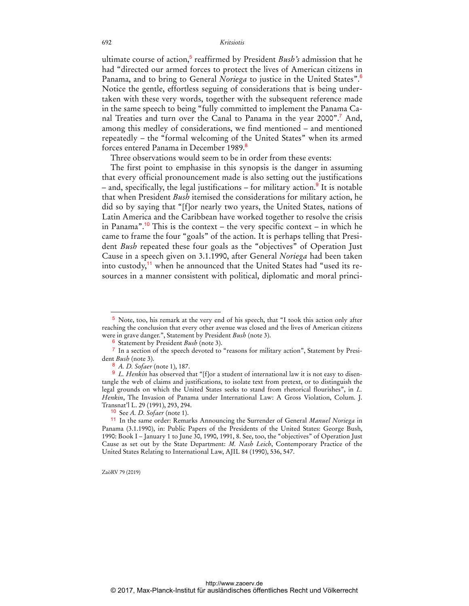ultimate course of action,<sup>5</sup> reaffirmed by President *Bush's* admission that he had "directed our armed forces to protect the lives of American citizens in Panama, and to bring to General *Noriega* to justice in the United States".<sup>6</sup> Notice the gentle, effortless seguing of considerations that is being undertaken with these very words, together with the subsequent reference made in the same speech to being "fully committed to implement the Panama Canal Treaties and turn over the Canal to Panama in the year 2000".<sup>7</sup> And, among this medley of considerations, we find mentioned – and mentioned repeatedly – the "formal welcoming of the United States" when its armed forces entered Panama in December 1989.<sup>8</sup>

Three observations would seem to be in order from these events:

The first point to emphasise in this synopsis is the danger in assuming that every official pronouncement made is also setting out the justifications – and, specifically, the legal justifications – for military action.<sup>9</sup> It is notable that when President *Bush* itemised the considerations for military action, he did so by saying that "[f]or nearly two years, the United States, nations of Latin America and the Caribbean have worked together to resolve the crisis in Panama".<sup>10</sup> This is the context – the very specific context – in which he came to frame the four "goals" of the action. It is perhaps telling that President *Bush* repeated these four goals as the "objectives" of Operation Just Cause in a speech given on 3.1.1990, after General *Noriega* had been taken into custody,<sup>11</sup> when he announced that the United States had "used its resources in a manner consistent with political, diplomatic and moral princi-

ZaöRV 79 (2019)

 $\overline{a}$ 

<sup>5</sup> Note, too, his remark at the very end of his speech, that "I took this action only after reaching the conclusion that every other avenue was closed and the lives of American citizens were in grave danger.", Statement by President *Bush* (note 3).

<sup>6</sup> Statement by President *Bush* (note 3).

 $\frac{7}{1}$  In a section of the speech devoted to "reasons for military action", Statement by President *Bush* (note 3).

<sup>8</sup> *A. D. Sofaer* (note 1), 187.

<sup>&</sup>lt;sup>9</sup> *L. Henkin* has observed that "[f]or a student of international law it is not easy to disentangle the web of claims and justifications, to isolate text from pretext, or to distinguish the legal grounds on which the United States seeks to stand from rhetorical flourishes", in *L. Henkin*, The Invasion of Panama under International Law: A Gross Violation, Colum. J. Transnat'l L. 29 (1991), 293, 294.

<sup>10</sup> See *A. D. Sofaer* (note 1).

<sup>11</sup> In the same order: Remarks Announcing the Surrender of General *Manuel Noriega* in Panama (3.1.1990), in: Public Papers of the Presidents of the United States: George Bush, 1990: Book I – January 1 to June 30, 1990, 1991, 8. See, too, the "objectives" of Operation Just Cause as set out by the State Department: *M. Nash Leich*, Contemporary Practice of the United States Relating to International Law, AJIL 84 (1990), 536, 547.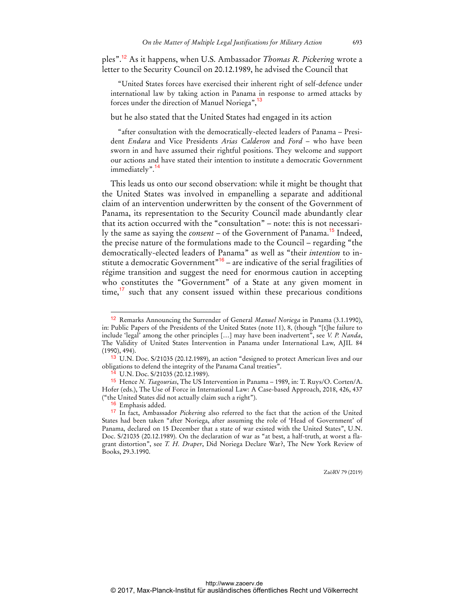ples".<sup>12</sup> As it happens, when U.S. Ambassador *Thomas R. Pickering* wrote a letter to the Security Council on 20.12.1989, he advised the Council that

"United States forces have exercised their inherent right of self-defence under international law by taking action in Panama in response to armed attacks by forces under the direction of Manuel Noriega",<sup>13</sup>

## but he also stated that the United States had engaged in its action

"after consultation with the democratically-elected leaders of Panama – President *Endara* and Vice Presidents *Arias Calderon* and *Ford* – who have been sworn in and have assumed their rightful positions. They welcome and support our actions and have stated their intention to institute a democratic Government immediately".<sup>14</sup>

This leads us onto our second observation: while it might be thought that the United States was involved in empanelling a separate and additional claim of an intervention underwritten by the consent of the Government of Panama, its representation to the Security Council made abundantly clear that its action occurred with the "consultation" – note: this is not necessarily the same as saying the *consent* – of the Government of Panama.<sup>15</sup> Indeed, the precise nature of the formulations made to the Council – regarding "the democratically-elected leaders of Panama" as well as "their *intention* to institute a democratic Government<sup>"16</sup> – are indicative of the serial fragilities of régime transition and suggest the need for enormous caution in accepting who constitutes the "Government" of a State at any given moment in  $time<sub>1</sub><sup>7</sup>$  such that any consent issued within these precarious conditions

 $\overline{a}$ 

<sup>12</sup> Remarks Announcing the Surrender of General *Manuel Noriega* in Panama (3.1.1990), in: Public Papers of the Presidents of the United States (note 11), 8, (though "[t]he failure to include 'legal' among the other principles […] may have been inadvertent", see *V. P. Nanda*, The Validity of United States Intervention in Panama under International Law, AJIL 84 (1990), 494).

<sup>13</sup> U.N. Doc. S/21035 (20.12.1989), an action "designed to protect American lives and our obligations to defend the integrity of the Panama Canal treaties".

 $^{14}$  U.N. Doc. S/21035 (20.12.1989).

<sup>15</sup> Hence *N. Tsagourias*, The US Intervention in Panama – 1989, in: T. Ruys/O. Corten/A. Hofer (eds.), The Use of Force in International Law: A Case-based Approach, 2018, 426, 437 ("the United States did not actually claim such a right").

<sup>&</sup>lt;sup>16</sup> Emphasis added.

<sup>17</sup> In fact, Ambassador *Pickering* also referred to the fact that the action of the United States had been taken "after Noriega, after assuming the role of 'Head of Government' of Panama, declared on 15 December that a state of war existed with the United States", U.N. Doc. S/21035 (20.12.1989). On the declaration of war as "at best, a half-truth, at worst a flagrant distortion", see *T. H. Draper*, Did Noriega Declare War?, The New York Review of Books, 29.3.1990.